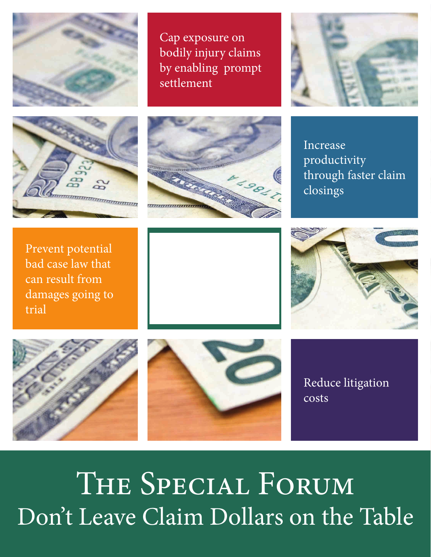

Cap exposure on bodily injury claims by enabling prompt settlement







Increase productivity through faster claim closings

Prevent potential bad case law that can result from damages going to trial









Reduce litigation costs

THE SPECIAL FORUM Don't Leave Claim Dollars on the Table